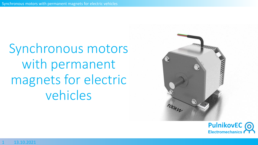Synchronous motors with permanent magnets for electric vehicles



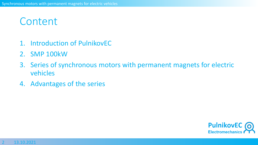# **Content**

- 1. Introduction of PulnikovEC
- 2. SMP 100kW
- 3. Series of synchronous motors with permanent magnets for electric vehicles
- 4. Advantages of the series

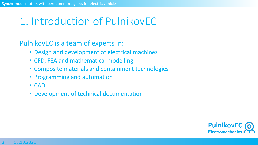## 1. Introduction of PulnikovEC

PulnikovEC is a team of experts in:

- Design and development of electrical machines
- CFD, FEA and mathematical modelling
- Composite materials and containment technologies
- Programming and automation
- CAD
- Development of technical documentation

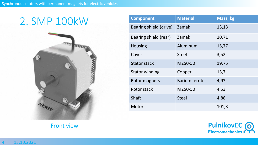

Front view

| <b>Component</b>       | <b>Material</b>       | Mass, kg |
|------------------------|-----------------------|----------|
| Bearing shield (drive) | Zamak                 | 13,13    |
| Bearing shield (rear)  | Zamak                 | 10,71    |
| <b>Housing</b>         | Aluminum              | 15,77    |
| Cover                  | <b>Steel</b>          | 3,52     |
| <b>Stator stack</b>    | M250-50               | 19,75    |
| <b>Stator winding</b>  | Copper                | 13,7     |
| Rotor magnets          | <b>Barium ferrite</b> | 4,93     |
| Rotor stack            | M250-50               | 4,53     |
| <b>Shaft</b>           | <b>Steel</b>          | 4,88     |
| Motor                  |                       | 101,3    |

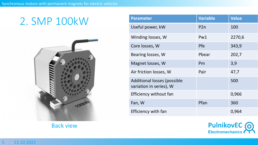

Back view

| <b>Parameter</b>                                              | <b>Variable</b> | <b>Value</b> |
|---------------------------------------------------------------|-----------------|--------------|
| Useful power, kW                                              | P2n             | 100          |
| Winding losses, W                                             | Pw1             | 2270,6       |
| Core losses, W                                                | <b>Pfe</b>      | 343,9        |
| Bearing losses, W                                             | Pbear           | 202,7        |
| Magnet losses, W                                              | Pm              | 3,9          |
| Air friction losses, W                                        | Pair            | 47,7         |
| <b>Additional losses (possible</b><br>variation in series), W |                 | 500          |
| Efficiency without fan                                        |                 | 0,966        |
| Fan, W                                                        | Pfan            | 360          |
| Efficiency with fan                                           |                 | 0,964        |

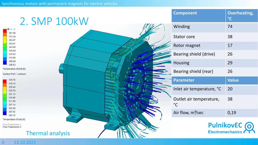| 2. SMP 100kW                                                                                     | <b>Component</b>                        | <b>Overheating,</b><br>$\degree$ C        |
|--------------------------------------------------------------------------------------------------|-----------------------------------------|-------------------------------------------|
| 1391.26                                                                                          | Winding                                 | 74                                        |
| 381.80<br>372.34<br>362.87                                                                       | Stator core                             | 38                                        |
| 353.41<br>343.95                                                                                 | Rotor magnet                            | 17                                        |
| 334.48<br>325.02<br>315.56                                                                       | Bearing shield (drive)                  | 26                                        |
| 306.09<br>296.63                                                                                 | Housing                                 | 29                                        |
| Temperature (Solid) [K]<br>Surface Plot 1: contours                                              | Bearing shield (rear)                   | 26                                        |
| 339.76<br>335.10                                                                                 | <b>Parameter</b>                        | <b>Value</b>                              |
| 330.44<br>325.78                                                                                 | Inlet air temperature, °C               | 20                                        |
| 321.12<br>316.46<br>311.80<br>307.14<br>302.48                                                   | Outlet air temperature,<br>$^{\circ}$ C | 38                                        |
| 297.82<br>293.16                                                                                 | Air flow, m <sup>3</sup> /sec           | 0,19                                      |
| Temperature (Fluid) [K]<br>Flow Trajectories 1<br>Flow Trajectories 2<br><b>Thermal analysis</b> |                                         | PulnikovEC (O)<br><b>Electromechanics</b> |

#### 6 13.10.2021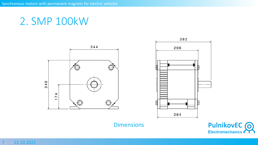344  $\left(\frac{1}{2}\right)$ 346  $174$ 



**Dimensions** 

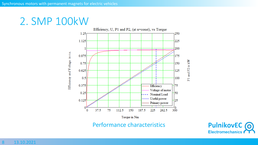

Performance characteristics

P1 and P2 in kW

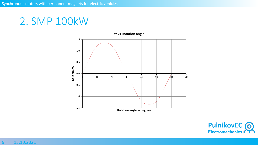

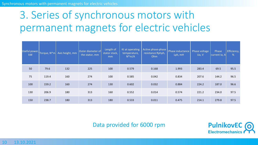# 3. Series of synchronous motors with permanent magnets for electric vehicles

| Useful power, Torque, N*m<br>kW |       | Axis height, mm | Outer diameter of<br>the stator, mm | Length of<br>stator stack,<br>mm | Kt at operating<br>temperature,<br>$N^*m/A$ | Active phase-phase<br>resistance Rphph,<br>Ohm | Phase inductance<br>Lph, mH | Phase voltage<br>Ua, V | Phase<br>current la, A | Efficiency,<br>% |
|---------------------------------|-------|-----------------|-------------------------------------|----------------------------------|---------------------------------------------|------------------------------------------------|-----------------------------|------------------------|------------------------|------------------|
| 50                              | 79.6  | 132             | 225                                 | 100                              | 0.579                                       | 0.168                                          | 1.993                       | 283.4                  | 69.5                   | 95.5             |
| 75                              | 119.4 | 160             | 274                                 | 100                              | 0.585                                       | 0.042                                          | 0.834                       | 207.6                  | 144.2                  | 96.5             |
| 100                             | 159.2 | 160             | 274                                 | 130                              | 0.602                                       | 0.032                                          | 0.884                       | 224.2                  | 187.0                  | 96.6             |
| 130                             | 206.9 | 180             | 313                                 | 160                              | 0.552                                       | 0.014                                          | 0.574                       | 221.2                  | 234.0                  | 97.5             |
| 150                             | 238.7 | 180             | 313                                 | 180                              | 0.533                                       | 0.011                                          | 0.475                       | 214.1                  | 279.8                  | 97.5             |

Data provided for 6000 rpm

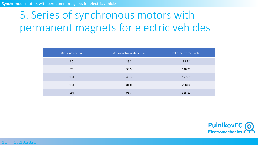# 3. Series of synchronous motors with permanent magnets for electric vehicles

| Useful power, kW | Mass of active materials, kg | Cost of active materials, $\epsilon$ |
|------------------|------------------------------|--------------------------------------|
| 50               | 26.2                         | 89.28                                |
| 75               | 39.5                         | 148.95                               |
| 100              | 49.3                         | 177.68                               |
| 130              | 81.0                         | 298.04                               |
| 150              | 91.7                         | 335.11                               |